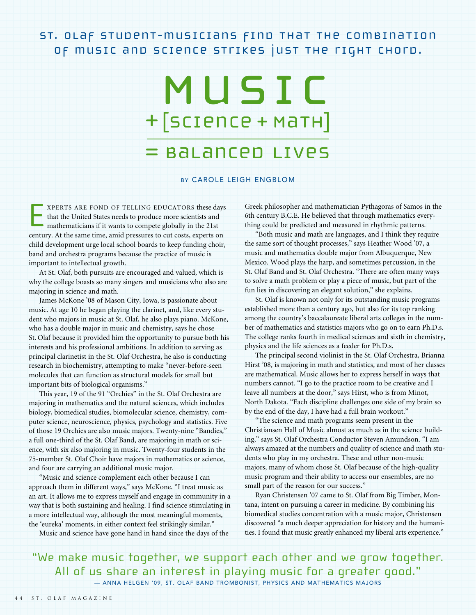St. Olaf student-musicians find that the combination of music and science strikes just the right chord.

# Music +[Science + Math]

## = Balanced Lives

#### BY CAROLE LEIGH ENGBLOM

E XPERTS ARE FOND OF TELLING EDUCATORS these days that the United States needs to produce more scientists and mathematicians if it wants to compete globally in the 21st century. At the same time, amid pressures to cut costs, experts on child development urge local school boards to keep funding choir, band and orchestra programs because the practice of music is important to intellectual growth.

At St. Olaf, both pursuits are encouraged and valued, which is why the college boasts so many singers and musicians who also are majoring in science and math.

James McKone '08 of Mason City, Iowa, is passionate about music. At age 10 he began playing the clarinet, and, like every student who majors in music at St. Olaf, he also plays piano. McKone, who has a double major in music and chemistry, says he chose St. Olaf because it provided him the opportunity to pursue both his interests and his professional ambitions. In addition to serving as principal clarinetist in the St. Olaf Orchestra, he also is conducting research in biochemistry, attempting to make "never-before-seen molecules that can function as structural models for small but important bits of biological organisms."

This year, 19 of the 91 "Orchies" in the St. Olaf Orchestra are majoring in mathematics and the natural sciences, which includes biology, biomedical studies, biomolecular science, chemistry, computer science, neuroscience, physics, psychology and statistics. Five of those 19 Orchies are also music majors. Twenty-nine "Bandies," a full one-third of the St. Olaf Band, are majoring in math or science, with six also majoring in music. Twenty-four students in the 75-member St. Olaf Choir have majors in mathematics or science, and four are carrying an additional music major.

"Music and science complement each other because I can approach them in different ways," says McKone. "I treat music as an art. It allows me to express myself and engage in community in a way that is both sustaining and healing. I find science stimulating in a more intellectual way, although the most meaningful moments, the 'eureka' moments, in either context feel strikingly similar."

Music and science have gone hand in hand since the days of the

Greek philosopher and mathematician Pythagoras of Samos in the 6th century B.C.E. He believed that through mathematics everything could be predicted and measured in rhythmic patterns.

"Both music and math are languages, and I think they require the same sort of thought processes," says Heather Wood '07, a music and mathematics double major from Albuquerque, New Mexico. Wood plays the harp, and sometimes percussion, in the St. Olaf Band and St. Olaf Orchestra. "There are often many ways to solve a math problem or play a piece of music, but part of the fun lies in discovering an elegant solution," she explains.

St. Olaf is known not only for its outstanding music programs established more than a century ago, but also for its top ranking among the country's baccalaureate liberal arts colleges in the number of mathematics and statistics majors who go on to earn Ph.D.s. The college ranks fourth in medical sciences and sixth in chemistry, physics and the life sciences as a feeder for Ph.D.s.

The principal second violinist in the St. Olaf Orchestra, Brianna Hirst '08, is majoring in math and statistics, and most of her classes are mathematical. Music allows her to express herself in ways that numbers cannot. "I go to the practice room to be creative and I leave all numbers at the door," says Hirst, who is from Minot, North Dakota. "Each discipline challenges one side of my brain so by the end of the day, I have had a full brain workout."

"The science and math programs seem present in the Christiansen Hall of Music almost as much as in the science building," says St. Olaf Orchestra Conductor Steven Amundson. "I am always amazed at the numbers and quality of science and math students who play in my orchestra. These and other non-music majors, many of whom chose St. Olaf because of the high-quality music program and their ability to access our ensembles, are no small part of the reason for our success."

Ryan Christensen '07 came to St. Olaf from Big Timber, Montana, intent on pursuing a career in medicine. By combining his biomedical studies concentration with a music major, Christensen discovered "a much deeper appreciation for history and the humanities. I found that music greatly enhanced my liberal arts experience."

"We make music together, we support each other and we grow together. All of us share an interest in playing music for a greater good." — ANNA HELGEN '09, ST. OLAF BAND TROMBONIST, PHYSICS AND MATHEMATICS MAJORS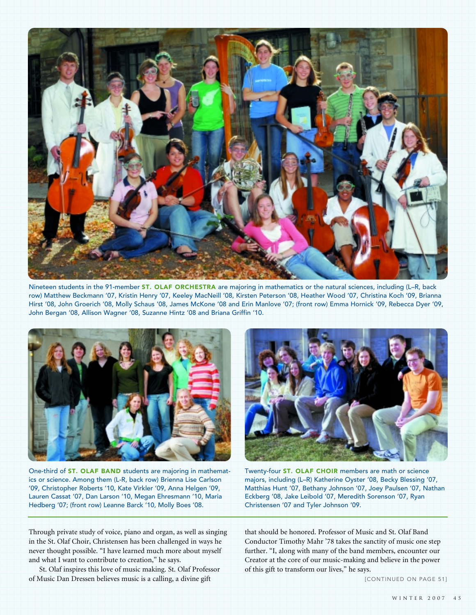

Nineteen students in the 91-member ST. OLAF ORCHESTRA are majoring in mathematics or the natural sciences, including (L–R, back row) Matthew Beckmann '07, Kristin Henry '07, Keeley MacNeill '08, Kirsten Peterson '08, Heather Wood '07, Christina Koch '09, Brianna Hirst '08, John Groerich '08, Molly Schaus '08, James McKone '08 and Erin Manlove '07; (front row) Emma Hornick '09, Rebecca Dyer '09, John Bergan '08, Allison Wagner '08, Suzanne Hintz '08 and Briana Griffin '10.



One-third of ST. OLAF BAND students are majoring in mathematics or science. Among them (L-R, back row) Brienna Lise Carlson '09, Christopher Roberts '10, Kate Virkler '09, Anna Helgen '09, Lauren Cassat '07, Dan Larson '10, Megan Ehresmann '10, Maria Hedberg '07; (front row) Leanne Barck '10, Molly Boes '08.



Twenty-four ST. OLAF CHOIR members are math or science majors, including (L–R) Katherine Oyster '08, Becky Blessing '07, Matthias Hunt '07, Bethany Johnson '07, Joey Paulsen '07, Nathan Eckberg '08, Jake Leibold '07, Meredith Sorenson '07, Ryan Christensen '07 and Tyler Johnson '09.

Through private study of voice, piano and organ, as well as singing in the St. Olaf Choir, Christensen has been challenged in ways he never thought possible. "I have learned much more about myself and what I want to contribute to creation," he says.

St. Olaf inspires this love of music making. St. Olaf Professor of Music Dan Dressen believes music is a calling, a divine gift

that should be honored. Professor of Music and St. Olaf Band Conductor Timothy Mahr '78 takes the sanctity of music one step further. "I, along with many of the band members, encounter our Creator at the core of our music-making and believe in the power of this gift to transform our lives," he says.

[CONTINUED ON PAGE 51]